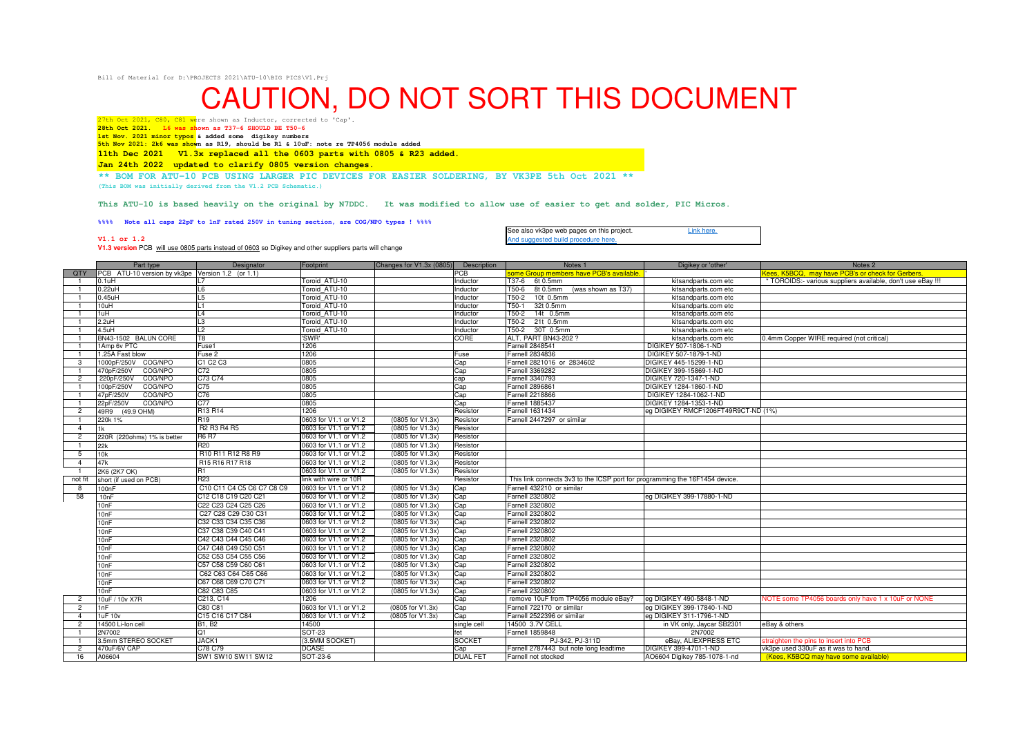Bill of Material for D:\PROJECTS 2021\ATU-10\BIG PICS\V1.Prj

## CAUTION, DO NOT SORT THIS DOCUMENT

27th Oct 2021, C80, C81 were shown as Inductor, corrected to 'Cap'. **28th Oct 2021. L6 was shown as T37-6 SHOULD BE T50-6**

**V1.1 or 1.2**

 **1st Nov. 2021 minor typos & added some digikey numbers5th Nov 2021: 2k6 was shown as R19, should be R1 & 10uF: note re TP4056 module added**

**11th Dec 2021 V1.3x replaced all the 0603 parts with 0805 & R23 added.**

**Jan 24th 2022 updated to clarify 0805 version changes.**

**\*\* BOM FOR ATU-10 PCB USING LARGER PIC DEVICES FOR EASIER SOLDERING, BY VK3PE 5th Oct 2021 \*\***

**(This BOM was initially derived from the V1.2 PCB Schematic.)**

**This ATU-10 is based heavily on the original by N7DDC. It was modified to allow use of easier to get and solder, PIC Micros.**

**%%%% Note all caps 22pF to 1nF rated 250V in tuning section, are COG/NPO types ! %%%%**

See also vk3pe web pages on this project.<br>And suggested build procedure here. Link here.

And suggested build procedure here. **V1.3 version** PCB will use 0805 parts instead of 0603 so Digikey and other suppliers parts will change

|                | Part type                                        | Designator                                                                    | Footprint             | Changes for V1.3x (0805) Description |                 | Notes <sub>1</sub>                                                          | Digikey or 'other'                  | Notes <sub>2</sub>                                          |
|----------------|--------------------------------------------------|-------------------------------------------------------------------------------|-----------------------|--------------------------------------|-----------------|-----------------------------------------------------------------------------|-------------------------------------|-------------------------------------------------------------|
| <b>QTY</b>     | PCB ATU-10 version by vk3pe Version 1.2 (or 1.1) |                                                                               |                       |                                      | <b>PCB</b>      | ome Group members have PCB's available                                      |                                     | Kees, K5BCQ, may have PCB's or check for Gerbers            |
|                | 0.1uH                                            |                                                                               | Toroid ATU-10         |                                      | Inductor        | T37-6 6t 0.5mm                                                              | kitsandparts.com etc                | * TOROIDS:- various suppliers available, don't use eBay !!! |
| $\overline{1}$ | $0.22$ uH                                        | L6                                                                            | Toroid ATU-10         |                                      | Inductor        | (was shown as T37)<br>T50-6<br>8t 0.5mm                                     | kitsandparts.com etc                |                                                             |
|                | $0.45$ uH                                        | L5                                                                            | Toroid ATU-10         |                                      | Inductor        | 10t 0.5mm<br>T50-2                                                          | kitsandparts.com etc                |                                                             |
| $\overline{1}$ | 10uH                                             | l 1                                                                           | Toroid ATU-10         |                                      | Inductor        | T50-1<br>32t 0.5mm                                                          | kitsandparts.com etc                |                                                             |
|                | 1uH                                              | $\mathsf{L}4$                                                                 | Toroid ATU-10         |                                      | Inductor        | T50-2<br>14t 0.5mm                                                          | kitsandparts.com etc                |                                                             |
| $\overline{1}$ | 2.2uH                                            | L3                                                                            | Toroid ATU-10         |                                      | Inductor        | T50-2<br>21t 0.5mm                                                          | kitsandparts.com etc                |                                                             |
| $\overline{1}$ | $4.5$ uH                                         | L <sub>2</sub>                                                                | Toroid ATU-10         |                                      | Inductor        | T50-2 30T 0.5mm                                                             | kitsandparts.com etc                |                                                             |
|                | BN43-1502 BALUN CORE                             | T8                                                                            | 'SWR'                 |                                      | CORE            | ALT. PART BN43-202 ?                                                        | kitsandparts.com etc                | 0.4mm Copper WIRE required (not critical)                   |
|                | 1Amp 6y PTC                                      | Fuse1                                                                         | 1206                  |                                      |                 | <b>Farnell 2848541</b>                                                      | DIGIKEY 507-1806-1-ND               |                                                             |
|                | 1.25A Fast blow                                  | Fuse 2                                                                        | 1206                  |                                      | Fuse            | <b>Farnell 2834836</b>                                                      | DIGIKEY 507-1879-1-ND               |                                                             |
| -3             | 1000pF/250V COG/NPO                              | C1 C2 C3                                                                      | 0805                  |                                      | Cap             | Farnell 2821016 or 2834602                                                  | DIGIKEY 445-15299-1-ND              |                                                             |
|                | COG/NPO<br>470pF/250V                            | C72                                                                           | 0805                  |                                      | Cap             | <b>Farnell 3369282</b>                                                      | DIGIKEY 399-15869-1-ND              |                                                             |
| $\overline{c}$ | COG/NPO<br>220pF/250V                            | C73 C74                                                                       | 0805                  |                                      | cap             | Farnell 3340793                                                             | DIGIKEY 720-1347-1-ND               |                                                             |
|                | 100pF/250V<br>COG/NPO                            | C <sub>75</sub>                                                               | 0805                  |                                      | Cap             | <b>Farnell 2896861</b>                                                      | DIGIKEY 1284-1860-1-ND              |                                                             |
|                | 47pF/250V<br>COG/NPO                             | C76                                                                           | 0805                  |                                      | Cap             | <b>Farnell 2218866</b>                                                      | DIGIKEY 1284-1062-1-ND              |                                                             |
|                | COG/NPO<br>22pF/250V                             | C <sub>77</sub>                                                               | 0805                  |                                      | Cap             | <b>Farnell 1885437</b>                                                      | DIGIKEY 1284-1353-1-ND              |                                                             |
| $\overline{2}$ | 49R9<br>(49.9 OHM)                               | R13 R14                                                                       | 1206                  |                                      | Resistor        | <b>Farnell 1631434</b>                                                      | eg DIGIKEY RMCF1206FT49R9CT-ND (1%) |                                                             |
| $\overline{1}$ | 220k 1%                                          | R <sub>19</sub>                                                               | 0603 for V1.1 or V1.2 | (0805 for V1.3x)                     | Resistor        | Farnell 2447297 or similar                                                  |                                     |                                                             |
| $\overline{4}$ | 1k                                               | R <sub>2</sub> R <sub>3</sub> R <sub>4</sub> R <sub>5</sub>                   | 0603 for V1.1 or V1.2 | (0805 for V1.3x)                     | Resistor        |                                                                             |                                     |                                                             |
| $\overline{2}$ | 220R (220ohms) 1% is better                      | <b>R6 R7</b>                                                                  | 0603 for V1.1 or V1.2 | (0805 for V1.3x)                     | Resistor        |                                                                             |                                     |                                                             |
|                | 22k                                              | R <sub>20</sub>                                                               | 0603 for V1.1 or V1.2 | (0805 for V1.3x)                     | Resistor        |                                                                             |                                     |                                                             |
| 5              | 10k                                              | R <sub>10</sub> R <sub>11</sub> R <sub>12</sub> R <sub>8</sub> R <sub>9</sub> | 0603 for V1.1 or V1.2 | (0805 for V1.3x)                     | Resistor        |                                                                             |                                     |                                                             |
| $\overline{4}$ | 47k                                              | R15 R16 R17 R18                                                               | 0603 for V1.1 or V1.2 | (0805 for V1.3x)                     | Resistor        |                                                                             |                                     |                                                             |
|                | 2K6 (2K7 OK)                                     | R1                                                                            | 0603 for V1.1 or V1.2 | (0805 for V1.3x)                     | Resistor        |                                                                             |                                     |                                                             |
| not fit        | short (if used on PCB)                           | R <sub>23</sub>                                                               | link with wire or 10R |                                      | Resistor        | This link connects 3v3 to the ICSP port for programming the 16F1454 device. |                                     |                                                             |
| -8             | 100nF                                            | C10 C11 C4 C5 C6 C7 C8 C9                                                     | 0603 for V1.1 or V1.2 | (0805 for V1.3x)                     | Cap             | Farnell 432210 or similar                                                   |                                     |                                                             |
| 58             | 10nF                                             | C12 C18 C19 C20 C21                                                           | 0603 for V1.1 or V1.2 | (0805 for V1.3x)                     | Cap             | <b>Farnell 2320802</b>                                                      | eg DIGIKEY 399-17880-1-ND           |                                                             |
|                | 10nF                                             | C22 C23 C24 C25 C26                                                           | 0603 for V1.1 or V1.2 | (0805 for V1.3x)                     | Cap             | <b>Farnell 2320802</b>                                                      |                                     |                                                             |
|                | 10nF                                             | C27 C28 C29 C30 C31                                                           | 0603 for V1.1 or V1.2 | (0805 for V1.3x)                     | Cap             | <b>Farnell 2320802</b>                                                      |                                     |                                                             |
|                | 10 <sub>nF</sub>                                 | C32 C33 C34 C35 C36                                                           | 0603 for V1.1 or V1.2 | (0805 for V1.3x)                     | Cap             | Farnell 2320802                                                             |                                     |                                                             |
|                | 10 <sub>n</sub> F                                | C37 C38 C39 C40 C41                                                           | 0603 for V1.1 or V1.2 | (0805 for V1.3x)                     | Cap             | <b>Farnell 2320802</b>                                                      |                                     |                                                             |
|                | 10 <sub>nF</sub>                                 | C42 C43 C44 C45 C46                                                           | 0603 for V1.1 or V1.2 | (0805 for V1.3x)                     | Cap             | <b>Farnell 2320802</b>                                                      |                                     |                                                             |
|                | 10 <sub>n</sub> F                                | C47 C48 C49 C50 C51                                                           | 0603 for V1.1 or V1.2 | (0805 for V1.3x)                     | Cap             | <b>Farnell 2320802</b>                                                      |                                     |                                                             |
|                | 10nF                                             | C52 C53 C54 C55 C56                                                           | 0603 for V1.1 or V1.2 | (0805 for V1.3x)                     | Cap             | Farnell 2320802                                                             |                                     |                                                             |
|                | 10 <sub>nF</sub>                                 | C57 C58 C59 C60 C61                                                           | 0603 for V1.1 or V1.2 | (0805 for V1.3x)                     | Cap             | <b>Farnell 2320802</b>                                                      |                                     |                                                             |
|                | 10 <sub>n</sub> F                                | C62 C63 C64 C65 C66                                                           | 0603 for V1.1 or V1.2 | (0805 for V1.3x)                     | Cap             | <b>Farnell 2320802</b>                                                      |                                     |                                                             |
|                | 10 <sub>nF</sub>                                 | C67 C68 C69 C70 C71                                                           | 0603 for V1.1 or V1.2 | (0805 for V1.3x)                     | Cap             | <b>Farnell 2320802</b>                                                      |                                     |                                                             |
|                | 10 <sub>nF</sub>                                 | C82 C83 C85                                                                   | 0603 for V1.1 or V1.2 | (0805 for V1.3x)                     | Cap             | Farnell 2320802                                                             |                                     |                                                             |
| 2              | 10uF / 10v X7R                                   | C213, C14                                                                     | 1206                  |                                      | Cap             | remove 10uF from TP4056 module eBay?                                        | leg DIGIKEY 490-5848-1-ND           | NOTE some TP4056 boards only have 1 x 10uF or NONE          |
| $\overline{2}$ | 1 <sub>nF</sub>                                  | C80 C81                                                                       | 0603 for V1.1 or V1.2 | (0805 for V1.3x)                     | Cap             | Farnell 722170 or similar                                                   | eg DIGIKEY 399-17840-1-ND           |                                                             |
| $\overline{4}$ | 1uF 10v                                          | C15 C16 C17 C84                                                               | 0603 for V1.1 or V1.2 | (0805 for V1.3x)                     | Cap             | Farnell 2522396 or similar                                                  | eg DIGIKEY 311-1796-1-ND            |                                                             |
| $\overline{2}$ | 14500 Li-lon cell                                | <b>B1, B2</b>                                                                 | 14500                 |                                      | single cell     | 14500 3.7V CELL                                                             | in VK only, Jaycar SB2301           | eBay & others                                               |
| - 1            | 2N7002                                           | Q1                                                                            | <b>SOT-23</b>         |                                      | fet             | Farnell 1859848                                                             | 2N7002                              |                                                             |
| $\overline{1}$ | 3.5mm STEREO SOCKET                              | JACK1                                                                         | (3.5MM SOCKET)        |                                      | <b>SOCKET</b>   | PJ-342, PJ-311D                                                             | eBay, ALIEXPRESS ETC                | straighten the pins to insert into PCB                      |
| $\overline{2}$ | 470uF/6V CAP                                     | C78 C79                                                                       | <b>DCASE</b>          |                                      | Cap             | Farnell 2787443 but note long leadtime                                      | DIGIKEY 399-4701-1-ND               | vk3pe used 330uF as it was to hand.                         |
| 16             | A06604                                           | SW1 SW10 SW11 SW12                                                            | SOT-23-6              |                                      | <b>DUAL FET</b> | Farnell not stocked                                                         | AO6604 Digikey 785-1078-1-nd        | (Kees, K5BCQ may have some available)                       |